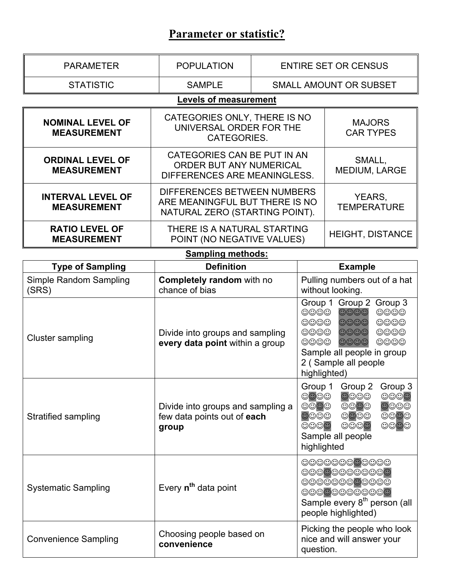# **Parameter or statistic?**

| <b>PARAMETER</b>                               | <b>POPULATION</b>                                                                                                                                                                                                                                                                                                                                                                                                                                                                                                                  |                   | <b>ENTIRE SET OR CENSUS</b>                                                                                                                                                                                                                                                                                                                                                                                                     |  |  |
|------------------------------------------------|------------------------------------------------------------------------------------------------------------------------------------------------------------------------------------------------------------------------------------------------------------------------------------------------------------------------------------------------------------------------------------------------------------------------------------------------------------------------------------------------------------------------------------|-------------------|---------------------------------------------------------------------------------------------------------------------------------------------------------------------------------------------------------------------------------------------------------------------------------------------------------------------------------------------------------------------------------------------------------------------------------|--|--|
| <b>STATISTIC</b><br><b>SAMPLE</b>              |                                                                                                                                                                                                                                                                                                                                                                                                                                                                                                                                    |                   | SMALL AMOUNT OR SUBSET                                                                                                                                                                                                                                                                                                                                                                                                          |  |  |
|                                                | <b>Levels of measurement</b>                                                                                                                                                                                                                                                                                                                                                                                                                                                                                                       |                   |                                                                                                                                                                                                                                                                                                                                                                                                                                 |  |  |
| <b>NOMINAL LEVEL OF</b><br><b>MEASUREMENT</b>  | CATEGORIES ONLY, THERE IS NO<br>UNIVERSAL ORDER FOR THE<br>CATEGORIES.                                                                                                                                                                                                                                                                                                                                                                                                                                                             |                   | <b>MAJORS</b><br><b>CAR TYPES</b>                                                                                                                                                                                                                                                                                                                                                                                               |  |  |
| <b>ORDINAL LEVEL OF</b><br><b>MEASUREMENT</b>  | CATEGORIES CAN BE PUT IN AN<br><b>ORDER BUT ANY NUMERICAL</b><br>DIFFERENCES ARE MEANINGLESS.                                                                                                                                                                                                                                                                                                                                                                                                                                      |                   | SMALL,<br>MEDIUM, LARGE                                                                                                                                                                                                                                                                                                                                                                                                         |  |  |
| <b>INTERVAL LEVEL OF</b><br><b>MEASUREMENT</b> | DIFFERENCES BETWEEN NUMBERS<br>ARE MEANINGFUL BUT THERE IS NO<br>NATURAL ZERO (STARTING POINT).                                                                                                                                                                                                                                                                                                                                                                                                                                    |                   | YEARS,<br><b>TEMPERATURE</b>                                                                                                                                                                                                                                                                                                                                                                                                    |  |  |
| <b>RATIO LEVEL OF</b><br><b>MEASUREMENT</b>    | THERE IS A NATURAL STARTING<br>POINT (NO NEGATIVE VALUES)                                                                                                                                                                                                                                                                                                                                                                                                                                                                          |                   | <b>HEIGHT, DISTANCE</b>                                                                                                                                                                                                                                                                                                                                                                                                         |  |  |
| <b>Sampling methods:</b><br><b>Example</b>     |                                                                                                                                                                                                                                                                                                                                                                                                                                                                                                                                    |                   |                                                                                                                                                                                                                                                                                                                                                                                                                                 |  |  |
| <b>Type of Sampling</b>                        |                                                                                                                                                                                                                                                                                                                                                                                                                                                                                                                                    | <b>Definition</b> |                                                                                                                                                                                                                                                                                                                                                                                                                                 |  |  |
| Simple Random Sampling<br>(SRS)                | Completely random with no<br>chance of bias                                                                                                                                                                                                                                                                                                                                                                                                                                                                                        |                   | Pulling numbers out of a hat<br>without looking.                                                                                                                                                                                                                                                                                                                                                                                |  |  |
| <b>Cluster sampling</b>                        | Group 1 Group 2 Group 3<br>$\circledcirc\circledcirc$<br>$\circledcirc\circledcirc$<br>$\odot\odot\odot$<br>$\circledcirc\circledcirc$<br>$\circledcirc\circledcirc$<br>$\circledcirc\circledcirc$<br>$\circledcirc\circledcirc$<br>$\circledcirc\circledcirc$<br>$\circledcirc\circledcirc$<br>Divide into groups and sampling<br>$\circledcirc\circledcirc$<br>$\circledcirc\circledcirc$<br>$\circledcirc\circledcirc$<br>every data point within a group<br>Sample all people in group<br>2 (Sample all people<br>highlighted) |                   |                                                                                                                                                                                                                                                                                                                                                                                                                                 |  |  |
| Stratified sampling                            | Divide into groups and sampling a<br>few data points out of each<br>group                                                                                                                                                                                                                                                                                                                                                                                                                                                          |                   | Group 1 Group 2 Group 3<br>$\circledcirc\circledcirc$<br>$\circledcirc\circledcirc$<br>$\circledcirc\circledcirc$<br>$\circledcirc\circledcirc$<br>$\odot$ $\odot$ $\odot$<br>$\circledcirc\circ\circ$<br>$\circledcirc\circledcirc$<br>$\circledcirc\circledcirc$<br>$\circledcirc\circledcirc$<br>$\circledcirc\circledcirc$<br>$\circledcirc\circledcirc$<br>$\circledcirc \circledcirc$<br>Sample all people<br>highlighted |  |  |
| <b>Systematic Sampling</b>                     | Every n <sup>th</sup> data point                                                                                                                                                                                                                                                                                                                                                                                                                                                                                                   |                   | 00000000000<br>00000000000<br>00000000000<br>00000000000<br>Sample every 8 <sup>th</sup> person (all<br>people highlighted)                                                                                                                                                                                                                                                                                                     |  |  |
| <b>Convenience Sampling</b>                    | Choosing people based on<br>convenience                                                                                                                                                                                                                                                                                                                                                                                                                                                                                            | question.         | Picking the people who look<br>nice and will answer your                                                                                                                                                                                                                                                                                                                                                                        |  |  |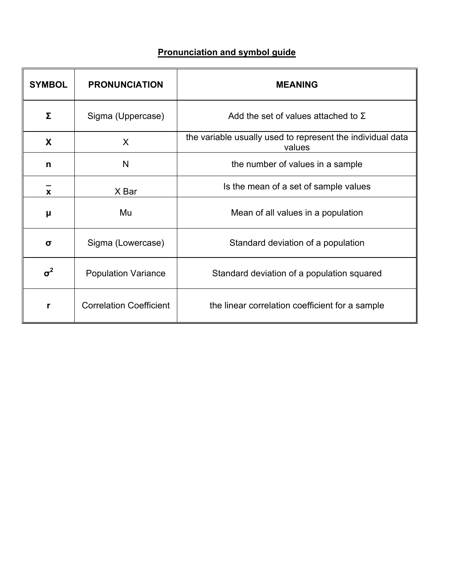## **Pronunciation and symbol guide**

| <b>SYMBOL</b> | <b>PRONUNCIATION</b>           | <b>MEANING</b>                                                       |  |
|---------------|--------------------------------|----------------------------------------------------------------------|--|
| Σ             | Sigma (Uppercase)              | Add the set of values attached to $\Sigma$                           |  |
| X             | X                              | the variable usually used to represent the individual data<br>values |  |
| n             | N                              | the number of values in a sample                                     |  |
| X             | X Bar                          | Is the mean of a set of sample values                                |  |
| μ             | Mu                             | Mean of all values in a population                                   |  |
| $\sigma$      | Sigma (Lowercase)              | Standard deviation of a population                                   |  |
| $\sigma^2$    | <b>Population Variance</b>     | Standard deviation of a population squared                           |  |
| r             | <b>Correlation Coefficient</b> | the linear correlation coefficient for a sample                      |  |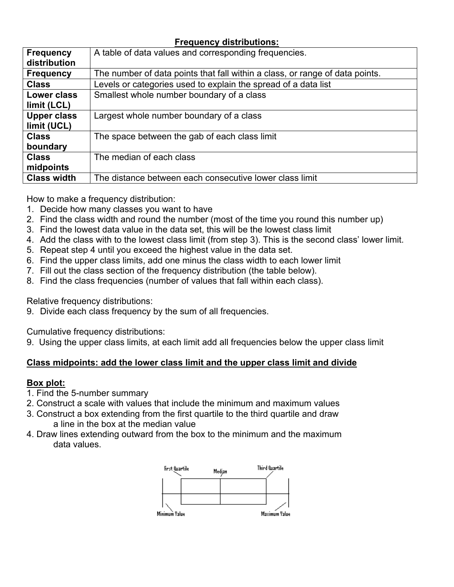#### **Frequency distributions:**

| <b>Frequency</b>   | A table of data values and corresponding frequencies.                        |
|--------------------|------------------------------------------------------------------------------|
| distribution       |                                                                              |
| <b>Frequency</b>   | The number of data points that fall within a class, or range of data points. |
| <b>Class</b>       | Levels or categories used to explain the spread of a data list               |
| <b>Lower class</b> | Smallest whole number boundary of a class                                    |
| limit (LCL)        |                                                                              |
| <b>Upper class</b> | Largest whole number boundary of a class                                     |
| limit (UCL)        |                                                                              |
| <b>Class</b>       | The space between the gab of each class limit                                |
| boundary           |                                                                              |
| <b>Class</b>       | The median of each class                                                     |
| midpoints          |                                                                              |
| <b>Class width</b> | The distance between each consecutive lower class limit                      |

How to make a frequency distribution:

- 1. Decide how many classes you want to have
- 2. Find the class width and round the number (most of the time you round this number up)
- 3. Find the lowest data value in the data set, this will be the lowest class limit
- 4. Add the class with to the lowest class limit (from step 3). This is the second class' lower limit.
- 5. Repeat step 4 until you exceed the highest value in the data set.
- 6. Find the upper class limits, add one minus the class width to each lower limit
- 7. Fill out the class section of the frequency distribution (the table below).
- 8. Find the class frequencies (number of values that fall within each class).

Relative frequency distributions:

9. Divide each class frequency by the sum of all frequencies.

Cumulative frequency distributions:

9. Using the upper class limits, at each limit add all frequencies below the upper class limit

#### **Class midpoints: add the lower class limit and the upper class limit and divide**

#### **Box plot:**

- 1. Find the 5-number summary
- 2. Construct a scale with values that include the minimum and maximum values
- 3. Construct a box extending from the first quartile to the third quartile and draw a line in the box at the median value
- 4. Draw lines extending outward from the box to the minimum and the maximum data values.

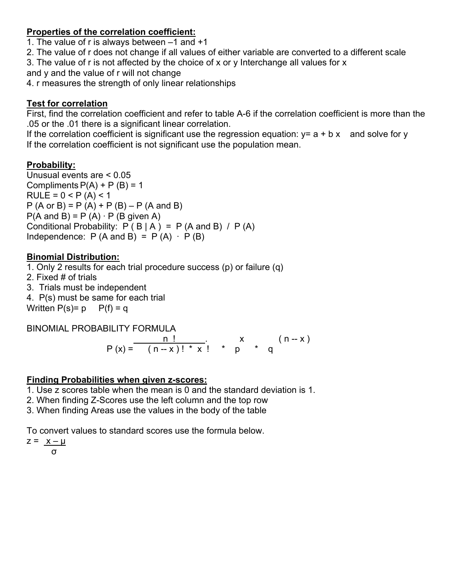#### **Properties of the correlation coefficient:**

1. The value of r is always between –1 and +1

2. The value of r does not change if all values of either variable are converted to a different scale

3. The value of r is not affected by the choice of x or y Interchange all values for x

and y and the value of r will not change

4. r measures the strength of only linear relationships

### **Test for correlation**

First, find the correlation coefficient and refer to table A-6 if the correlation coefficient is more than the .05 or the .01 there is a significant linear correlation.

If the correlation coefficient is significant use the regression equation:  $y = a + b x$  and solve for y If the correlation coefficient is not significant use the population mean.

## **Probability:**

Unusual events are < 0.05 Compliments  $P(A) + P(B) = 1$  $RULE = 0 < P (A) < 1$  $P(A \text{ or } B) = P(A) + P(B) - P(A \text{ and } B)$  $P(A \text{ and } B) = P(A) \cdot P(B \text{ given } A)$ Conditional Probability:  $P ( B | A ) = P (A \text{ and } B ) / P (A)$ Independence:  $P(A \text{ and } B) = P(A) \cdot P(B)$ 

#### **Binomial Distribution:**

1. Only 2 results for each trial procedure success (p) or failure (q) 2. Fixed # of trials 3. Trials must be independent 4. P(s) must be same for each trial Written  $P(s)=p$   $P(f)=q$ 

BINOMIAL PROBABILITY FORMULA  $\begin{array}{cccc} n! & \cdot & x & (n-x) \end{array}$  $P(x) = (n-x)! * x! * p * q$ 

#### **Finding Probabilities when given z-scores:**

1. Use z scores table when the mean is 0 and the standard deviation is 1.

2. When finding Z-Scores use the left column and the top row

3. When finding Areas use the values in the body of the table

To convert values to standard scores use the formula below.

 $z = x - \mu$ 

σ